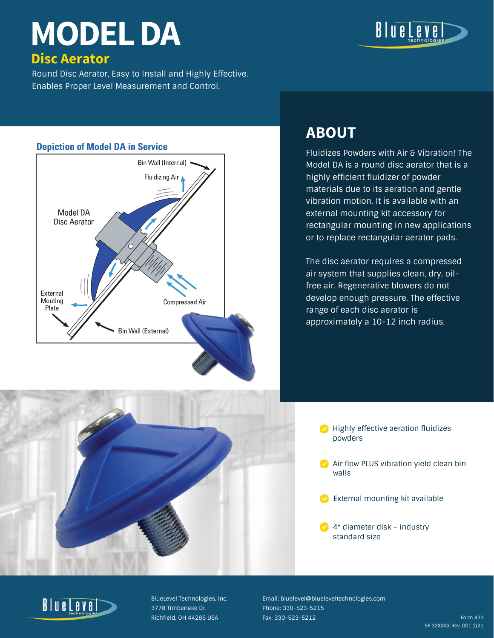Round Disc Aerator, Easy to Install and Highly Effective. Enables Proper Level Measurement and Control.

#### **Depiction of Model DA in Service**





Fluidizes Powders with Air & Vibration! The Model DA is a round disc aerator that is a highly efficient fluidizer of powder materials due to its aeration and gentle vibration motion. It is available with an external mounting kit accessory for rectangular mounting in new applications or to replace rectangular aerator pads.

The disc aerator requires a compressed air system that supplies clean, dry, oilfree air. Regenerative blowers do not develop enough pressure. The effective range of each disc aerator is approximately a 10-12 inch radius.



## **ABOUT**

- Highly effective aeration fluidizes powders
- Air flow PLUS vibration yield clean bin walls
- External mounting kit available
- 4″ diameter disk industry standard size



# **MODEL DA**

## **Disc Aerator**

BlueLevel Technologies, Inc. 3778 Timberlake Dr. Richfield, OH 44286 USA

Email: bluelevel@blueleveltechnologies.com Phone: 330-523-5215 Fax: 330-523-5212 Form 433

SF 32XXXX Rev. 001 2/21